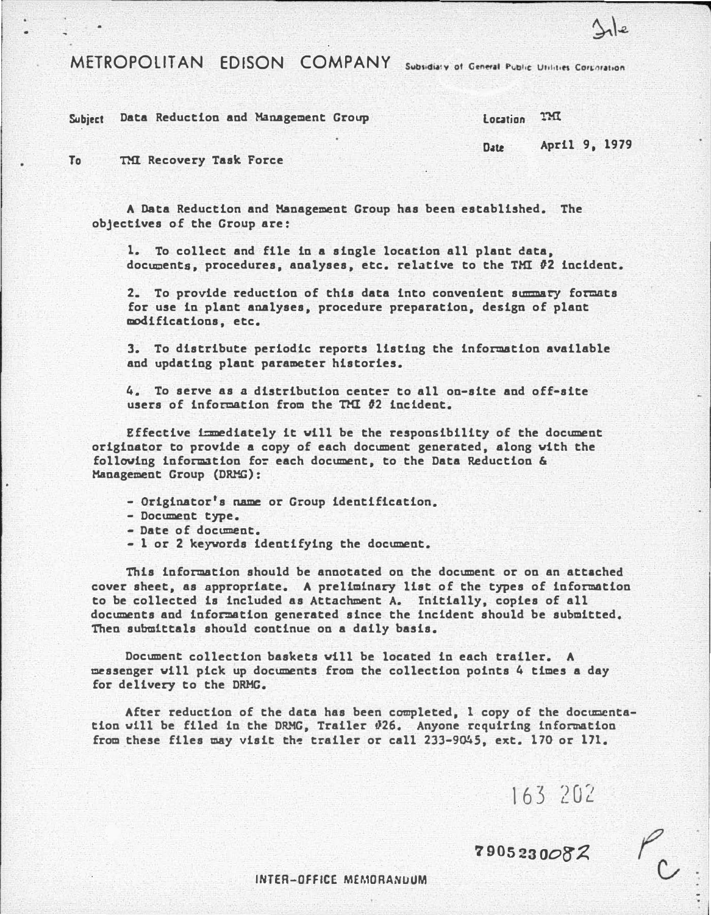METROPOLITAN EDISON COMPANY Subsidiary of General Public Unities Corporation

Subject Data Reduction and Management Group

To TMl Recovery Task Force

A Data Reduction and Management Group has been established. The objectives of the Group are:

1. To collect and file in a single location all plant data, documents, procedures, analyses, etc. relative to the TMI #2 incident.

2. To provide reduction of this data into convenient summary formats for use in plant analyses, procedure preparation, design of plant modifications, etc.

3. To distribute periodic reports listing the information available and updating plant parameter histories.

4. To serve as a distribution center to all on-site and off-site users of information from the TMI #2 incident.

Effective immediately it will be the responsibility of the document originator to provide a copy of each document generated, along vith the following information for each document, to the Data Reduction & Management Group (DRMG):

- Originator's name or Group identification.
- Document type.
- Date of document.
- 1 or 2 keyvords identifying the document.

This information should be annotated on the document or on an attached cover sheet, as appropriate. A preliminary list of the types of information to be collected is included as Attachment A. Initially, copies of all documents and information generated since the incident should be submitted. Then submittals should continue on a daily basis.

Document collection baskets vill be located in each trailer. A messenger vill pick up documents from the collection points 4 times a day for delivery to the DRMG.

After reduction of the data has been completed, I copy of the documentation will be filed in the DRMG, Trailer �26. Anyone requiring information from these files may visit the trailer or call 233-9045, ext. 170 or 171.

163 202

'1905 23 OOB'A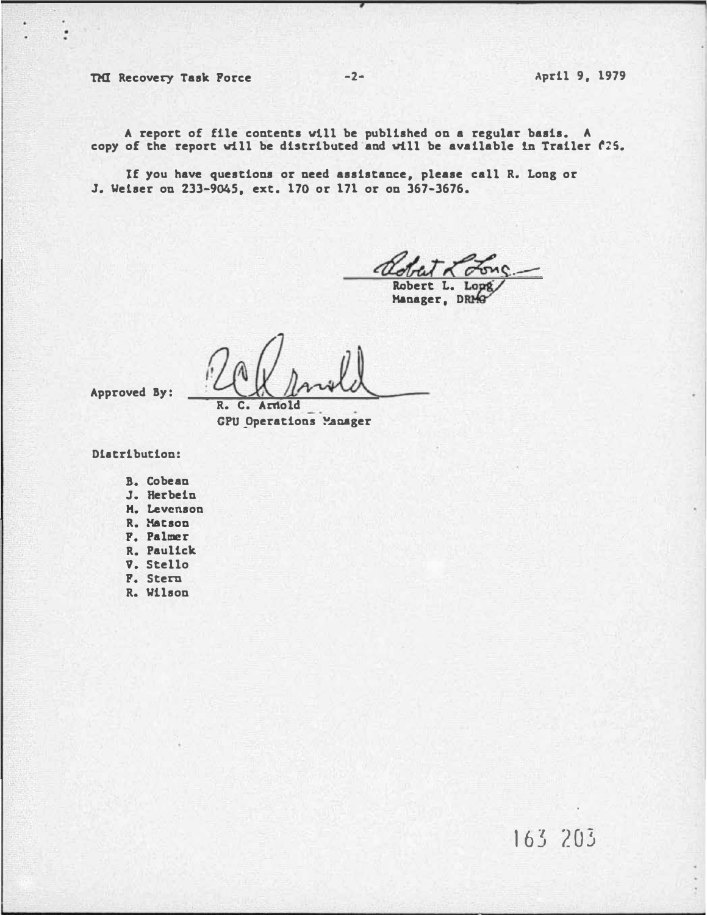THI Recovery Task Force -2- -2- April 9, 1979

 $\dddot{\phantom{1}}$ 

A report of file contents vtll be published on a regular basis. A copy of the report vtll be distributed and vill be available in Trailer r:s.

If you have questions or need assistance. please call R. Loag or J. Welser on 233-9045. ext. 170 or 171 or on 367-3676.

Robert L. Lopg

R. c. Arnold

GPU Operations Manager

Dlatribution:

Approved By:

- B. Cobean
- J. Herbein
- H. Levenson
- R. Hats on
- F. Palmer
- R. Paulick
- v. Stello
- F. Stern
- R. Wilson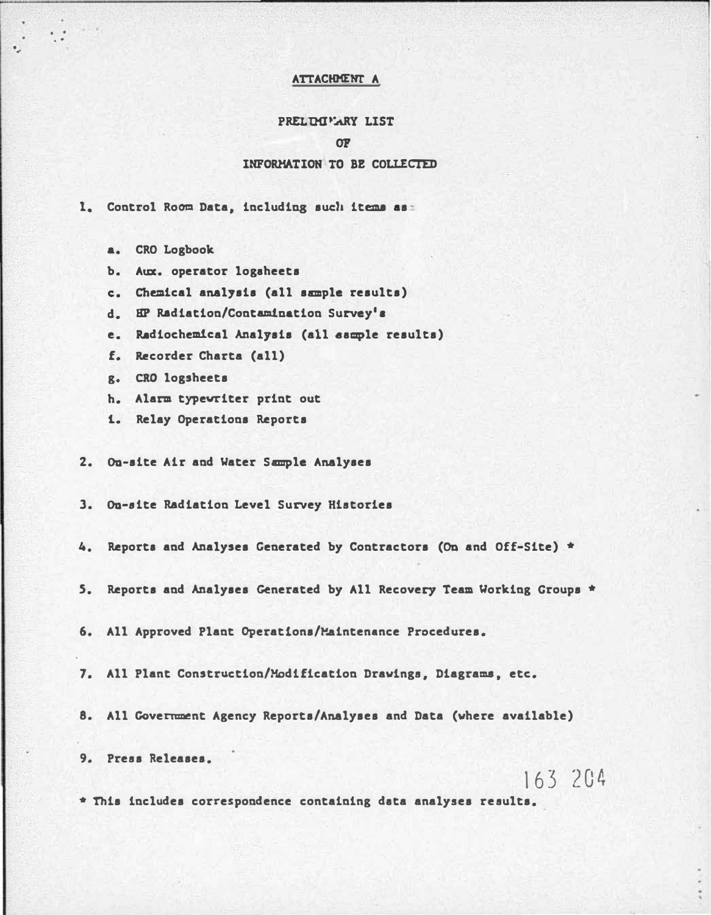## ATTACHMENT A

## PRELIMITARY LIST

## $\Omega$

## INFORMATION TO BE COLLECTED

1. Control Room Data, including such items as:

- a. CRO Logbook
- b. Aux. operator logaheets
- c. Chemical analysis (all sample results)
- d. EP Radiation/Contamination Survey's
- e. Radiochemical Analysis (all sample results)
- f. Recorder Charta (all)
- g. CRO logsheets
- h. Alarm typewriter print out
- 1. Relay Operations Reports
- 2. On-site Air and Water Sample Analyses

3. On-site Radiation Level Survey Histories

4. Reports and Analyses Generated by Contractors (On and Off-Site) \*

- 5. Reports and Analyses Generated by All Recovery Team Working Groups \*
- 6. All Approved Plant Operations/Maintenance Procedures.
- 7. All Plant Construction/Modification Drawings, Diagrams, etc.
- 8. All Government Agency Reports/Analyses and Data (where available)

9. Press Releases.

163 204

\* This includes correspondence containing data analyses results.